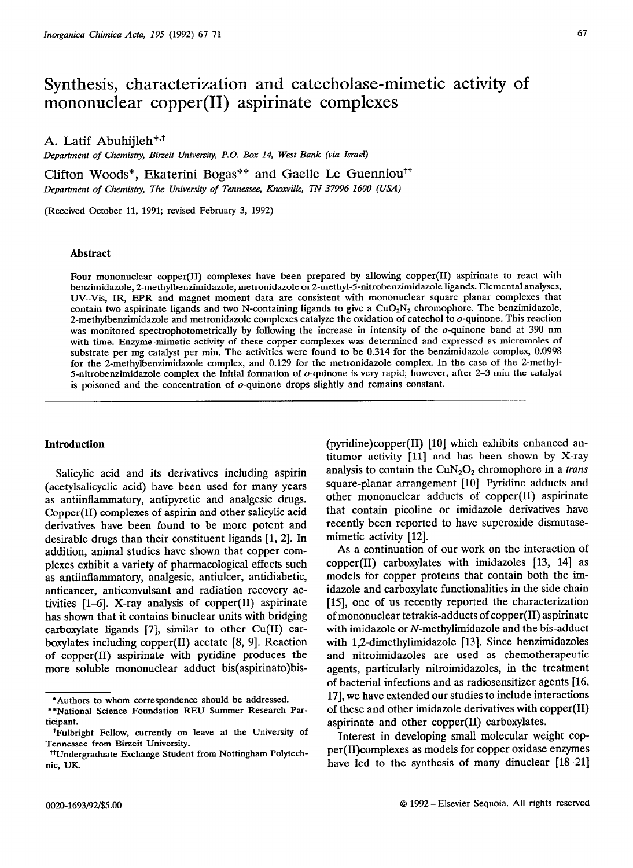# Synthesis, characterization and catecholase-mimetic activity of mononuclear copper(I1) aspirinate complexes

# A. Latif Abuhijleh\*,<sup>†</sup>

*Department of Chemistry, Bineit University, P.O. Box 14, West Bank (via Israel)* 

Clifton Woods\*, Ekaterini Bogas\*\* and Gaelle Le Guenniou<sup>††</sup> *Department of Chentistzy, The University of Tennessee, Knoxville, TN 37996 1600 (USA)* 

(Received October 11, 1991; revised February 3, 1992)

# **Abstract**

Four mononuclear copper(I1) complexes have been prepared by allowing copper(I1) aspirinate to react with benzimidazole, 2-methylbenzimidazole, metronidazole or 2-methyl-5-nitrobenzimidazole ligands. Elemental analyses, UV-Vis, IR, EPR and magnet moment data are consistent with mononuclear square planar complexes that contain two aspirinate ligands and two N-containing ligands to give a  $CuO<sub>2</sub>N<sub>2</sub>$  chromophore. The benzimidazole, 2-methylbenzimidazole and metronidazole complexes catalyze the oxidation of catechol to  $o$ -quinone. This reaction was monitored spectrophotometrically by following the increase in intensity of the o-quinone band at 390 nm with time. Enzyme-mimetic activity of these copper complexes was determined and expressed as micromoles of substrate per mg catalyst per min. The activities were found to be 0.314 for the benzimidazole complex, 0.0998 for the 2-methylbenzimidazole complex, and 0.129 for the metronidazole complex. In the case of the 2-methyl-5-nitrobenzimidazole complex the initial formation of  $o$ -quinone is very rapid; however, after 2–3 min the catalyst is poisoned and the concentration of  $o$ -quinone drops slightly and remains constant.

## **Introduction**

Salicylic acid and its derivatives including aspirin (acetylsalicyclic acid) have been used for many years as antiinflammatory, antipyretic and analgesic drugs. Copper(I1) complexes of aspirin and other salicylic acid derivatives have been found to be more potent and desirable drugs than their constituent ligands [l, 21. In addition, animal studies have shown that copper complexes exhibit a variety of pharmacological effects such as antiinflammatory, analgesic, antiulcer, antidiabetic, anticancer, anticonvulsant and radiation recovery activities  $[1-6]$ . X-ray analysis of copper $(II)$  aspirinate has shown that it contains binuclear units with bridging carboxylate ligands [7], similar to other Cu(I1) carboxylates including copper $(II)$  acetate  $[8, 9]$ . Reaction of copper(I1) aspirinate with pyridine produces the more soluble mononuclear adduct bis(aspirinato)bis(pyridine)copper $(II)$  [10] which exhibits enhanced antitumor activity [ll] and has been shown by X-ray analysis to contain the  $CuN<sub>2</sub>O<sub>2</sub>$  chromophore in a *trans* square-planar arrangement [10]. Pyridine adducts and other mononuclear adducts of copper(I1) aspirinate that contain picoline or imidazole derivatives have recently been reported to have superoxide dismutasemimetic activity [12].

As a continuation of our work on the interaction of  $copper(II)$  carboxylates with imidazoles  $[13, 14]$  as models for copper proteins that contain both the imidazole and carboxylate functionalities in the side chain [15], one of us recently reported the characterization of mononuclear tetrakis-adducts of copper(I1) aspirinate with imidazole or N-methylimidazole and the bis-adduct with 1,2-dimethylimidazole [13]. Since benzimidazoles and nitroimidazoles are used as chemotherapeutic agents, particularly nitroimidazoles, in the treatment of bacterial infections and as radiosensitizer agents [16, 171, we have extended our studies to include interactions of these and other imidazole derivatives with copper(I1) aspirinate and other copper(I1) carboxylates.

Interest in developing small molecular weight copper(II)complexes as models for copper oxidase enzymes have led to the synthesis of many dinuclear  $[18-21]$ 

<sup>\*</sup>Authors **to whom correspondence should be addressed.** 

**<sup>\*\*</sup>National Science Foundation** REU Summer Research Participant.

fFulbrigbt Fellow, currently on leave at the University of Tennessee from Birzeit University.

<sup>&</sup>lt;sup>†</sup>†Undergraduate Exchange Student from Nottingham Polytechnic, UK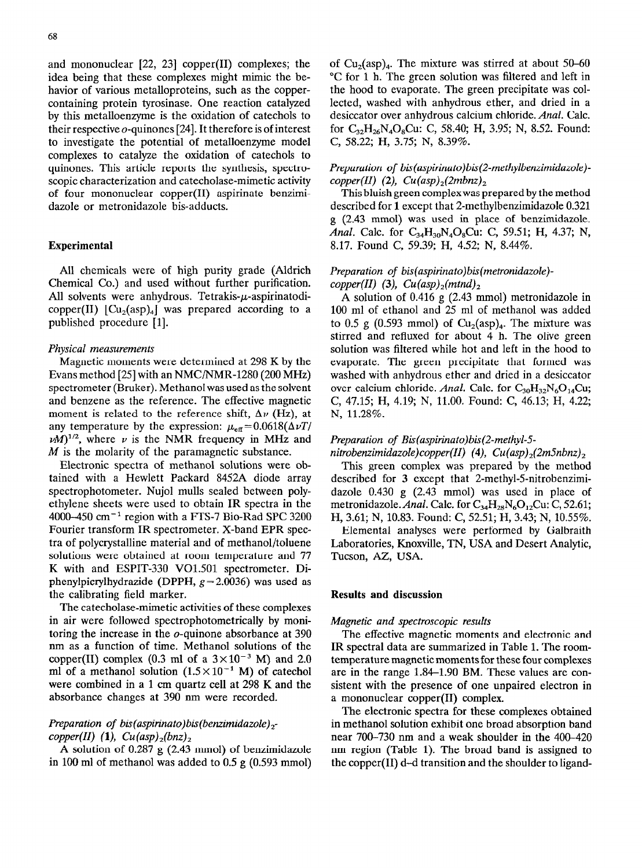and mononuclear  $[22, 23]$  copper(II) complexes; the idea being that these complexes might mimic the behavior of various metalloproteins, such as the coppercontaining protein tyrosinase. One reaction catalyzed by this metalloenzyme is the oxidation of catechols to their respective  $o$ -quinones [24]. It therefore is of interest to investigate the potential of metalloenzyme model complexes to catalyze the oxidation of catechols to quinones. This article reports the synthesis, spectroscopic characterization and catecholase-mimetic activity of four mononuclear copper(I1) aspirinate benzimidazole or metronidazole bis-adducts.

# **Experimental**

All chemicals were of high purity grade (Aldrich Chemical Co.) and used without further purification. All solvents were anhydrous. Tetrakis- $\mu$ -aspirinatodicopper (II)  $\lbrack Cu_2 (asp)_4 \rbrack$  was prepared according to a published procedure [l].

## *Physical measurements*

Magnetic moments were determined at 298 K by the Evans method [25] with an NMC/NMR-1280 (200 MHz) spectrometer (Bruker). Methanol was used as the solvent and benzene as the reference. The effective magnetic moment is related to the reference shift,  $\Delta \nu$  (Hz), at any temperature by the expression:  $\mu_{\text{eff}}$  = 0.0618( $\Delta \nu T$ /  $\nu M$ <sup>1/2</sup>, where  $\nu$  is the NMR frequency in MHz and  $M$  is the molarity of the paramagnetic substance.

Electronic spectra of methanol solutions were obtained with a Hewlett Packard 8452A diode array spectrophotometer. Nujol mulls sealed between polyethylene sheets were used to obtain IR spectra in the 4000-450  $cm^{-1}$  region with a FTS-7 Bio-Rad SPC 3200 Fourier transform IR spectrometer. X-band EPR spectra of polycrystalline material and of methanol/toluene solutions were obtained at room temperature and 77 K with and ESPIT-330 Vol.501 spectrometer. Diphenylpicrylhydrazide (DPPH,  $g = 2.0036$ ) was used as the calibrating field marker.

The catecholase-mimetic activities of these complexes in air were followed spectrophotometrically by monitoring the increase in the o-quinone absorbance at 390 nm as a function of time. Methanol solutions of the copper(II) complex (0.3 ml of a  $3 \times 10^{-3}$  M) and 2.0 ml of a methanol solution  $(1.5 \times 10^{-1}$  M) of catechol were combined in a 1 cm quartz cell at 298 K and the absorbance changes at 390 nm were recorded.

# *Preparation of bis(aspirinato)bis(benzimidazole)*<sub>2</sub> $copper(II)$  (1),  $Cu(asp)_2(bnz)_2$

A solution of 0.287 g (2.43 mmol) of benzimidazole in 100 ml of methanol was added to 0.5 g (0.593 mmol) of  $Cu<sub>2</sub>(asp)<sub>4</sub>$ . The mixture was stirred at about 50–60 "C for 1 h. The green solution was filtered and left in the hood to evaporate. The green precipitate was collected, washed with anhydrous ether, and dried in a desiccator over anhydrous calcium chloride. *Anal.* Calc. for  $C_{32}H_{26}N_{4}O_{8}Cu$ : C, 58.40; H, 3.95; N, 8.52. Found: C, 58.22; H, 3.75; N, 8.39%.

# *Preparation of bis(aspirinato)bis(2-methylbenzimidazole)* $copper(II)$  (2),  $Cu(asp)_2(2mbnz)_2$

This bluish green complexwas prepared by the method described for **1** except that 2-methylbenzimidazole 0.321 g (2.43 mmol) was used in place of benzimidazole. *Anal.* Calc. for C<sub>34</sub>H<sub>30</sub>N<sub>4</sub>O<sub>8</sub>Cu: C, 59.51; H, 4.37; N, 8.17. Found C, 59.39; H, 4.52; N, 8.44%.

# *Preparation of bis(aspirinato)bis(metronidazole)*   $copper(II)$  (3),  $Cu(asp)_{2}(mtnd)_{2}$

A solution of 0.416 g (2.43 mmol) metronidazole in 100 ml of ethanol and 25 ml of methanol was added to 0.5 g (0.593 mmol) of  $Cu<sub>2</sub>(asp)<sub>4</sub>$ . The mixture was stirred and refluxed for about 4 h. The olive green solution was filtered while hot and left in the hood to evaporate. The green precipitate that formed was washed with anhydrous ether and dried in a desiccator over calcium chloride. *Anal.* Calc. for C<sub>30</sub>H<sub>32</sub>N<sub>6</sub>O<sub>14</sub>Cu; C, 47.15; H, 4.19; N, 11.00. Found: C, 46.13; H, 4.22; N, 11.28%.

#### *Preparation of Bis(aspirinato)bis(2-methyl-5*

# *nitrobenzimidazole)copper(II) (4) Cu(asp),(2mSnbnz),*

This green complex was prepared by the method described for 3 except that 2-methyl-5-nitrobenzimidazole 0.430 g (2.43 mmol) was used in place of metronidazole. Anal. Calc. for  $C_{34}H_{28}N_6O_{12}Cu$ : C, 52.61; H, 3.61; N, 10.83. Found: C, 52.51; H, 3.43; N, 10.55%.

Elemental analyses were performed by Galbraith Laboratories, Knoxville, TN, USA and Desert Analytic, Tucson, AZ, USA.

# **Results and discussion**

#### *Magnetic and spectroscopic results*

The effective magnetic moments and electronic and IR spectral data are summarized in Table 1. The roomtemperature magnetic moments for these four complexes are in the range 1.84-1.90 BM. These values are consistent with the presence of one unpaired electron in a mononuclear copper(I1) complex.

The electronic spectra for these complexes obtained in methanol solution exhibit one broad absorption band near 700-730 nm and a weak shoulder in the 400-420 nm region (Table 1). The broad band is assigned to the copper(I1) d-d transition and the shoulder to ligand-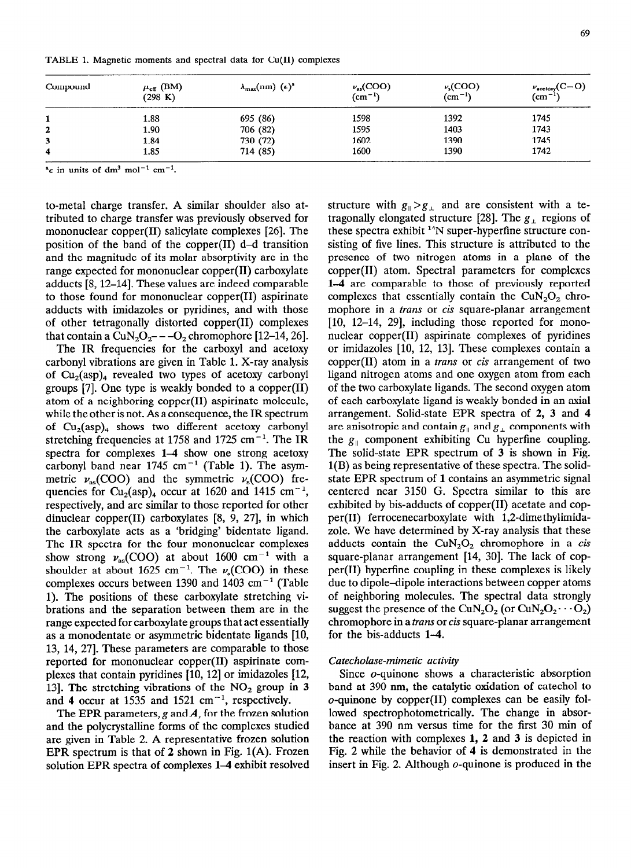| Compound | $\mu_{\text{eff}}$ (BM)<br>(298 K) | $\lambda_{\max}$ (nm) $(\epsilon)^a$ | $\nu_{\text{as}}(\text{COO})$<br>(cm <sup>-1</sup> ) | $\nu_{s}(\text{COO})$<br>$\rm (cm^{-1})$ | $\nu_{\text{acceptory}}(C=O)$<br>(cm <sup>-1</sup> ) |
|----------|------------------------------------|--------------------------------------|------------------------------------------------------|------------------------------------------|------------------------------------------------------|
|          | 1.88                               | 695 (86)                             | 1598                                                 | 1392                                     | 1745                                                 |
| 2        | 1.90                               | 706 (82)                             | 1595                                                 | 1403                                     | 1743                                                 |
| 3        | 1.84                               | 730 (72)                             | 1602                                                 | 1390                                     | 1745                                                 |
| 4        | 1.85                               | 714 (85)                             | 1600                                                 | 1390                                     | 1742                                                 |

**TABLE 1. Magnetic moments and spectral data for Cu(I1) complexes** 

 $^{\alpha}$  e in units of dm<sup>3</sup> mol<sup>-1</sup> cm<sup>-1</sup>.

to-metal charge transfer. A similar shoulder also attributed to charge transfer was previously observed for mononuclear copper(I1) salicylate complexes [26]. The position of the band of the copper(I1) d-d transition and the magnitude of its molar absorptivity are in the range expected for mononuclear copper(B) carboxylate adducts [S, 12-141. These values are indeed comparable to those found for mononuclear copper(I1) aspirinate adducts with imidazoles or pyridines, and with those of other tetragonally distorted copper(I1) complexes that contain a  $CuN<sub>2</sub>O<sub>2</sub>$  -  $-O<sub>2</sub>$  chromophore [12-14, 26].

The IR frequencies for the carboxyl and acetoxy carbonyl vibrations are given in Table 1. X-ray analysis of  $Cu<sub>2</sub>(asp)<sub>4</sub>$  revealed two types of acetoxy carbonyl groups [7]. One type is weakly bonded to a copper $(II)$ atom of a neighboring copper(I1) aspirinate molecule, while the other is not. As a consequence, the IR spectrum of  $Cu<sub>2</sub>(asp)<sub>4</sub>$  shows two different acetoxy carbonyl stretching frequencies at 1758 and 1725 cm<sup>-1</sup>. The IR spectra for complexes 1–4 show one strong acetoxy carbonyl band near 1745 cm<sup>-1</sup> (Table 1). The asymmetric  $\nu_{\rm as}({\rm COO})$  and the symmetric  $\nu_{\rm s}({\rm COO})$  frequencies for  $Cu_2(asp)_4$  occur at 1620 and 1415 cm<sup>-1</sup>, respectively, and are similar to those reported for other dinuclear copper(I1) carboxylates [8, 9, 271, in which the carboxylate acts as a 'bridging' bidentate ligand. The IR spectra for the four mononuclear complexes show strong  $v_{\text{as}}(\text{COO})$  at about 1600 cm<sup>-1</sup> with a shoulder at about 1625 cm<sup>-1</sup>. The  $\nu_s(COO)$  in these complexes occurs between 1390 and 1403 cm<sup>-1</sup> (Table 1). The positions of these carboxylate stretching vibrations and the separation between them are in the range expected for carboxylate groups that act essentially as a monodentate or asymmetric bidentate ligands [10, 13, 14, 271. These parameters are comparable to those reported for mononuclear copper(I1) aspirinate complexes that contain pyridines [10, 12] or imidazoles [12, 13]. The stretching vibrations of the  $NO<sub>2</sub>$  group in 3 and 4 occur at 1535 and 1521 cm<sup>-1</sup>, respectively.

The EPR parameters,  $g$  and  $A$ , for the frozen solution and the polycrystalline forms of the complexes studied are given in Table 2. A representative frozen solution EPR spectrum is that of 2 shown in Fig.  $1(A)$ . Frozen solution EPR spectra of complexes 1-4 exhibit resolved structure with  $g_{\parallel} > g_{\perp}$  and are consistent with a tetragonally elongated structure [28]. The  $g_{\perp}$  regions of these spectra exhibit <sup>14</sup>N super-hyperfine structure consisting of five lines. This structure is attributed to the presence of two nitrogen atoms in a plane of the copper(I1) atom. Spectral parameters for complexes l-4 are comparable to those of previously reported complexes that essentially contain the  $CuN<sub>2</sub>O<sub>2</sub>$  chromophore in a *trans* or *cis* square-planar arrangement [10, 12-14, 29], including those reported for mononuclear copper(I1) aspirinate complexes of pyridines or imidazoles [10, 12, 13]. These complexes contain a copper(II) atom in a *trans* or *cis* arrangement of two ligand nitrogen atoms and one oxygen atom from each of the two carboxylate ligands. The second oxygen atom of each carboxylate ligand is weakly bonded in an axial arrangement. Solid-state EPR spectra of 2, 3 and 4 are anisotropic and contain  $g_{\parallel}$  and  $g_{\perp}$  components with the  $g_{\parallel}$  component exhibiting Cu hyperfine coupling. The solid-state EPR spectrum of 3 is shown in Fig. l(B) as being representative of these spectra. The solidstate EPR spectrum of 1 contains an asymmetric signal centered near 3150 G. Spectra similar to this are exhibited by bis-adducts of copper(I1) acetate and copper(I1) ferrocenecarboxylate with 1,2-dimethylimidazole. We have determined by X-ray analysis that these adducts contain the  $CuN<sub>2</sub>O<sub>2</sub>$  chromophore in a cis square-planar arrangement [14, 30]. The lack of copper(I1) hyperfme coupling in these complexes is likely due to dipole-dipole interactions between copper atoms of neighboring molecules. The spectral data strongly suggest the presence of the CuN<sub>2</sub>O<sub>2</sub> (or CuN<sub>2</sub>O<sub>2</sub> $\cdots$ O<sub>2</sub>) chromophore in a *trans* or *cis* square-planar arrangement for the bis-adducts 1-4.

# *Catecholase-mimetic activity*

Since o-quinone shows a characteristic absorption band at 390 nm, the catalytic oxidation of catechol to o-quinone by copper(I1) complexes can be easily followed spectrophotometrically. The change in absorbance at 390 nm versus time for the first 30 min of the reaction with complexes 1, *2* and 3 is depicted in Fig. 2 while the behavior of 4 is demonstrated in the insert in Fig. 2. Although o-quinone is produced in the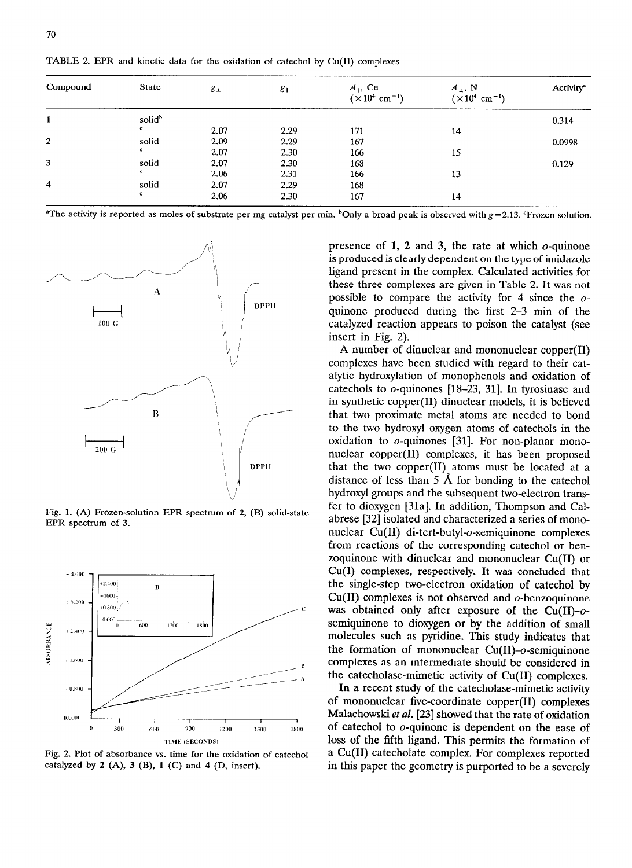| Compound     | State              | $g_{\perp}$ | $g_{\parallel}$ | $A_{\parallel}$ , Cu<br>$(\times 10^4 \text{ cm}^{-1})$ | $A_{\perp}$ , N<br>$(\times 10^4 \text{ cm}^{-1})$ | <b>Activity<sup>a</sup></b> |
|--------------|--------------------|-------------|-----------------|---------------------------------------------------------|----------------------------------------------------|-----------------------------|
| 1            | solid <sup>b</sup> |             |                 |                                                         |                                                    | 0.314                       |
|              | c                  | 2.07        | 2.29            | 171                                                     | 14                                                 |                             |
| $\mathbf{z}$ | solid              | 2.09        | 2.29            | 167                                                     |                                                    | 0.0998                      |
|              | c                  | 2.07        | 2.30            | 166                                                     | 15                                                 |                             |
| 3            | solid              | 2.07        | 2.30            | 168                                                     |                                                    | 0.129                       |
|              | c                  | 2.06        | 2.31            | 166                                                     | 13                                                 |                             |
| 4            | solid              | 2.07        | 2.29            | 168                                                     |                                                    |                             |
|              | $\mathbf c$        | 2.06        | 2.30            | 167                                                     | 14                                                 |                             |

**TABLE 2. EPR and kinetic data for the oxidation of catechol by Cu(I1) complexes** 

**"The activity is reported as moles of substrate per mg catalyst per min. "Only a broad peak is observed with**  $g = 2.13$ **. 'Frozen solution.** 



**Fig. 1. (A) Frozen-solution EPR spectrum of 2, (B) solid-state EPR spectrum of 3.** 



**Fig. 2. Plot of absorbance vs. time for the oxidation of catechol catalyzed by 2 (A), 3 (B), 1 (C) and 4 (D, insert).** 

presence of **1, 2** and 3, the rate at which o-quinone is produced is clearly dependent on the type of imidazole ligand present in the complex. Calculated activities for these three complexes are given in Table 2. It was not possible to compare the activity for 4 since the oquinone produced during the first 2-3 min of the catalyzed reaction appears to poison the catalyst (see insert in Fig. 2).

A number of dinuclear and mononuclear copper(I1) complexes have been studied with regard to their catalytic hydroxylation of monophenols and oxidation of catechols to  $o$ -quinones [18-23, 31]. In tyrosinase and in synthetic copper(I1) dinuclear models, it is believed that two proximate metal atoms are needed to bond to the two hydroxyl oxygen atoms of catechols in the oxidation to o-quinones [31]. For non-planar mononuclear copper(I1) complexes, it has been proposed that the two copper(I1) atoms must be located at a distance of less than 5 A for bonding to the catechol hydroxyl groups and the subsequent two-electron transfer to dioxygen [31a]. In addition, Thompson and Calabrese [32] isolated and characterized a series of mononuclear Cu(I1) di-tert-butyl-o-semiquinone complexes from reactions of the corresponding catechol or benzoquinone with dinuclear and mononuclear Cu(I1) or Cu(1) complexes, respectively. It was concluded that the single-step two-electron oxidation of catechol by  $Cu(II)$  complexes is not observed and  $o$ -benzoquinone was obtained only after exposure of the  $Cu(II)-o$ semiquinone to dioxygen or by the addition of small molecules such as pyridine. This study indicates that the formation of mononuclear  $Cu(II)-o$ -semiquinone complexes as an intermediate should be considered in the catecholase-mimetic activity of Cu(I1) complexes.

In a recent study of the catecholase-mimetic activity of mononuclear five-coordinate copper(I1) complexes Malachowski ef *al.* [23] showed that the rate of oxidation of catechol to o-quinone is dependent on the ease of loss of the fifth ligand. This permits the formation of a Cu(I1) catecholate complex. For complexes reported in this paper the geometry is purported to be a severely